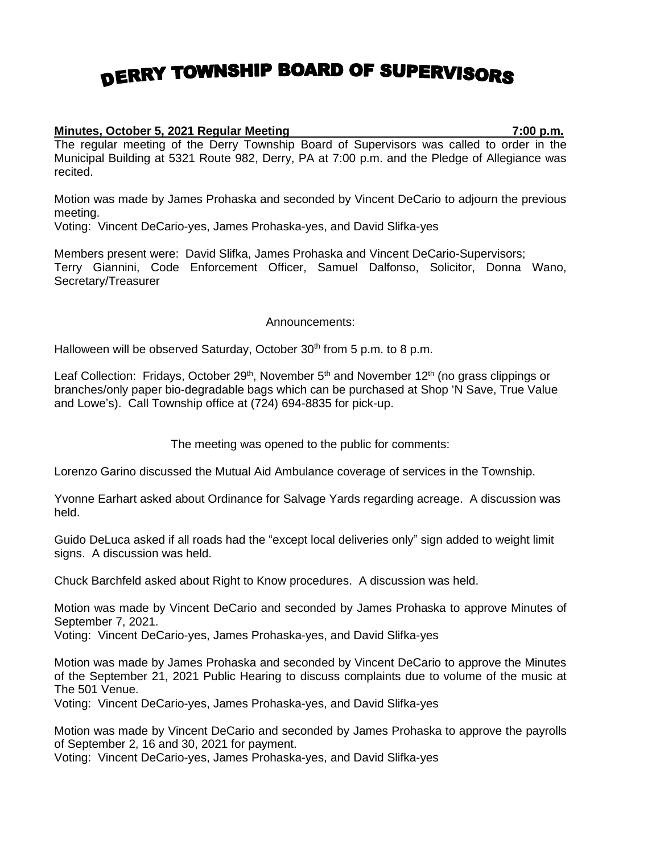# DERRY TOWNSHIP BOARD OF SUPERVISORS

### **Minutes, October 5, 2021 Regular Meeting 7:00 p.m.**

The regular meeting of the Derry Township Board of Supervisors was called to order in the Municipal Building at 5321 Route 982, Derry, PA at 7:00 p.m. and the Pledge of Allegiance was recited.

Motion was made by James Prohaska and seconded by Vincent DeCario to adjourn the previous meeting.

Voting: Vincent DeCario-yes, James Prohaska-yes, and David Slifka-yes

Members present were: David Slifka, James Prohaska and Vincent DeCario-Supervisors; Terry Giannini, Code Enforcement Officer, Samuel Dalfonso, Solicitor, Donna Wano, Secretary/Treasurer

### Announcements:

Halloween will be observed Saturday, October 30<sup>th</sup> from 5 p.m. to 8 p.m.

Leaf Collection: Fridays, October 29<sup>th</sup>, November  $5<sup>th</sup>$  and November 12<sup>th</sup> (no grass clippings or branches/only paper bio-degradable bags which can be purchased at Shop 'N Save, True Value and Lowe's). Call Township office at (724) 694-8835 for pick-up.

The meeting was opened to the public for comments:

Lorenzo Garino discussed the Mutual Aid Ambulance coverage of services in the Township.

Yvonne Earhart asked about Ordinance for Salvage Yards regarding acreage. A discussion was held.

Guido DeLuca asked if all roads had the "except local deliveries only" sign added to weight limit signs. A discussion was held.

Chuck Barchfeld asked about Right to Know procedures. A discussion was held.

Motion was made by Vincent DeCario and seconded by James Prohaska to approve Minutes of September 7, 2021.

Voting: Vincent DeCario-yes, James Prohaska-yes, and David Slifka-yes

Motion was made by James Prohaska and seconded by Vincent DeCario to approve the Minutes of the September 21, 2021 Public Hearing to discuss complaints due to volume of the music at The 501 Venue.

Voting: Vincent DeCario-yes, James Prohaska-yes, and David Slifka-yes

Motion was made by Vincent DeCario and seconded by James Prohaska to approve the payrolls of September 2, 16 and 30, 2021 for payment.

Voting: Vincent DeCario-yes, James Prohaska-yes, and David Slifka-yes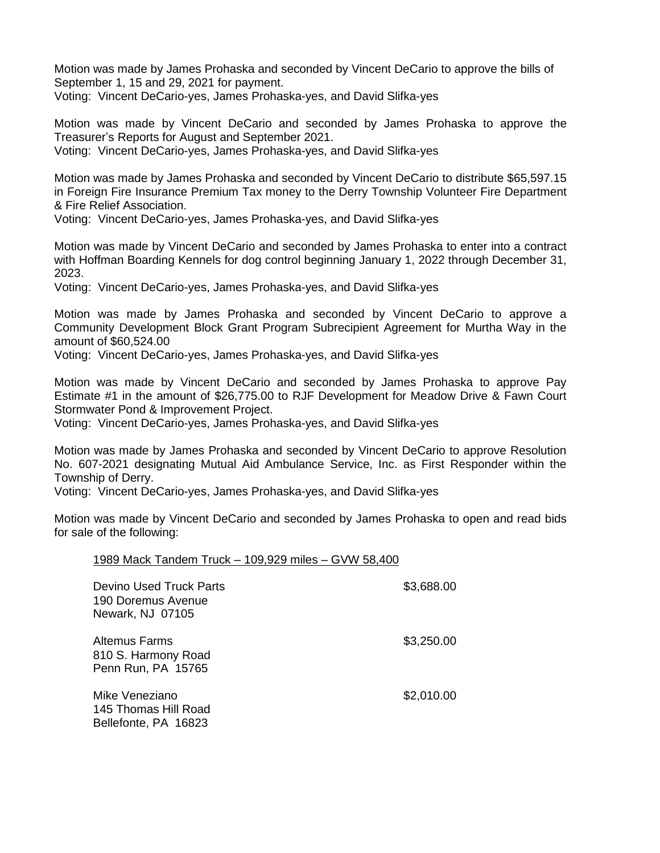Motion was made by James Prohaska and seconded by Vincent DeCario to approve the bills of September 1, 15 and 29, 2021 for payment. Voting: Vincent DeCario-yes, James Prohaska-yes, and David Slifka-yes

Motion was made by Vincent DeCario and seconded by James Prohaska to approve the Treasurer's Reports for August and September 2021. Voting: Vincent DeCario-yes, James Prohaska-yes, and David Slifka-yes

Motion was made by James Prohaska and seconded by Vincent DeCario to distribute \$65,597.15 in Foreign Fire Insurance Premium Tax money to the Derry Township Volunteer Fire Department & Fire Relief Association.

Voting: Vincent DeCario-yes, James Prohaska-yes, and David Slifka-yes

Motion was made by Vincent DeCario and seconded by James Prohaska to enter into a contract with Hoffman Boarding Kennels for dog control beginning January 1, 2022 through December 31, 2023.

Voting: Vincent DeCario-yes, James Prohaska-yes, and David Slifka-yes

Motion was made by James Prohaska and seconded by Vincent DeCario to approve a Community Development Block Grant Program Subrecipient Agreement for Murtha Way in the amount of \$60,524.00

Voting: Vincent DeCario-yes, James Prohaska-yes, and David Slifka-yes

Motion was made by Vincent DeCario and seconded by James Prohaska to approve Pay Estimate #1 in the amount of \$26,775.00 to RJF Development for Meadow Drive & Fawn Court Stormwater Pond & Improvement Project.

Voting: Vincent DeCario-yes, James Prohaska-yes, and David Slifka-yes

Motion was made by James Prohaska and seconded by Vincent DeCario to approve Resolution No. 607-2021 designating Mutual Aid Ambulance Service, Inc. as First Responder within the Township of Derry.

Voting: Vincent DeCario-yes, James Prohaska-yes, and David Slifka-yes

Motion was made by Vincent DeCario and seconded by James Prohaska to open and read bids for sale of the following:

#### 1989 Mack Tandem Truck – 109,929 miles – GVW 58,400

| Devino Used Truck Parts<br>190 Doremus Avenue<br>Newark, NJ 07105 | \$3,688.00 |
|-------------------------------------------------------------------|------------|
| Altemus Farms<br>810 S. Harmony Road<br>Penn Run, PA 15765        | \$3,250.00 |
| Mike Veneziano<br>145 Thomas Hill Road<br>Bellefonte, PA 16823    | \$2,010.00 |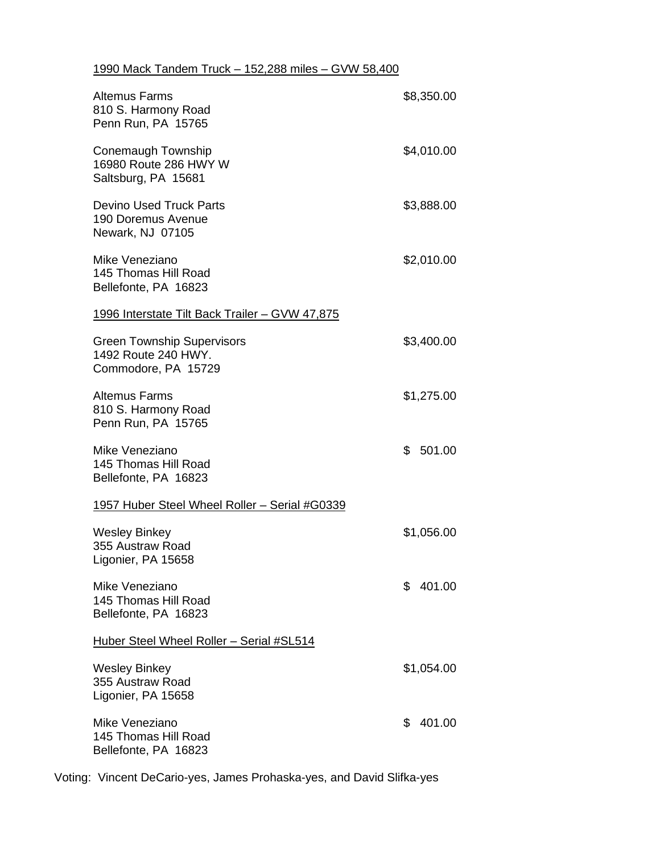## 1990 Mack Tandem Truck – 152,288 miles – GVW 58,400

| <b>Altemus Farms</b><br>810 S. Harmony Road<br>Penn Run, PA 15765               | \$8,350.00   |
|---------------------------------------------------------------------------------|--------------|
| Conemaugh Township<br>16980 Route 286 HWY W<br>Saltsburg, PA 15681              | \$4,010.00   |
| <b>Devino Used Truck Parts</b><br>190 Doremus Avenue<br>Newark, NJ 07105        | \$3,888.00   |
| Mike Veneziano<br>145 Thomas Hill Road<br>Bellefonte, PA 16823                  | \$2,010.00   |
| <u> 1996 Interstate Tilt Back Trailer – GVW 47,875</u>                          |              |
| <b>Green Township Supervisors</b><br>1492 Route 240 HWY.<br>Commodore, PA 15729 | \$3,400.00   |
| <b>Altemus Farms</b><br>810 S. Harmony Road<br>Penn Run, PA 15765               | \$1,275.00   |
| Mike Veneziano<br>145 Thomas Hill Road<br>Bellefonte, PA 16823                  | \$<br>501.00 |
| 1957 Huber Steel Wheel Roller - Serial #G0339                                   |              |
| <b>Wesley Binkey</b><br>355 Austraw Road<br>Ligonier, PA 15658                  | \$1,056.00   |
| Mike Veneziano<br>145 Thomas Hill Road<br>Bellefonte, PA 16823                  | \$<br>401.00 |
| Huber Steel Wheel Roller - Serial #SL514                                        |              |
| <b>Wesley Binkey</b><br>355 Austraw Road<br>Ligonier, PA 15658                  | \$1,054.00   |
| Mike Veneziano<br>145 Thomas Hill Road<br>Bellefonte, PA 16823                  | \$<br>401.00 |

Voting: Vincent DeCario-yes, James Prohaska-yes, and David Slifka-yes